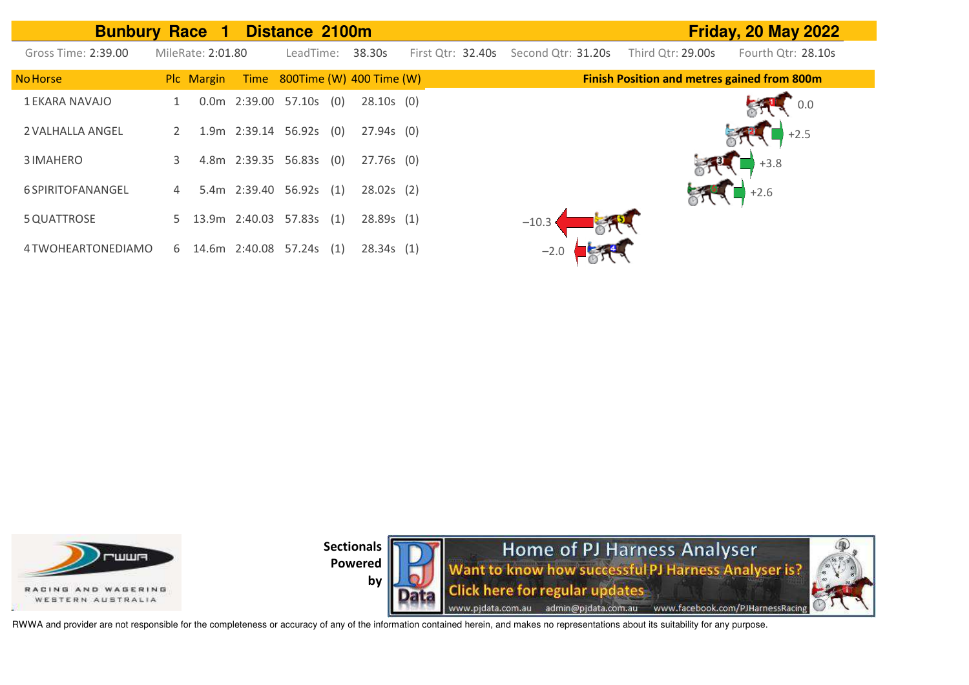| <b>Bunbury Race 1</b> |   |                   | Distance 2100m           |     |                               |                   |                    |                                                    | <b>Friday, 20 May 2022</b> |
|-----------------------|---|-------------------|--------------------------|-----|-------------------------------|-------------------|--------------------|----------------------------------------------------|----------------------------|
| Gross Time: 2:39.00   |   | MileRate: 2:01.80 | LeadTime:                |     | 38.30s                        | First Qtr: 32.40s | Second Qtr: 31.20s | Third Qtr: 29.00s                                  | Fourth Qtr: 28.10s         |
| <b>No Horse</b>       |   | Plc Margin        |                          |     | Time 800Time (W) 400 Time (W) |                   |                    | <b>Finish Position and metres gained from 800m</b> |                            |
| 1 EKARA NAVAJO        |   |                   | 0.0m 2:39.00 57.10s      | (0) | $28.10s$ (0)                  |                   |                    |                                                    | 0.0                        |
| 2 VALHALLA ANGEL      |   |                   | 1.9m 2:39.14 56.92s (0)  |     | $27.94s$ (0)                  |                   |                    |                                                    | $+2.5$                     |
| 3 IMAHERO             | 3 |                   | 4.8m 2:39.35 56.83s (0)  |     | $27.76s$ (0)                  |                   |                    |                                                    | $+3.8$                     |
| 6 SPIRITOFANANGEL     | 4 |                   | 5.4m 2:39.40 56.92s      | (1) | $28.02s$ (2)                  |                   |                    |                                                    | $+2.6$                     |
| 5 QUATTROSE           | 5 |                   | 13.9m 2:40.03 57.83s (1) |     | 28.89s(1)                     |                   | $-10.3$            |                                                    |                            |
| 4 TWOHEARTONEDIAMO    | 6 |                   | 14.6m 2:40.08 57.24s     | (1) | 28.34s(1)                     |                   | $-2.0$             |                                                    |                            |





RWWA and provider are not responsible for the completeness or accuracy of any of the information contained herein, and makes no representations about its suitability for any purpose.

**by**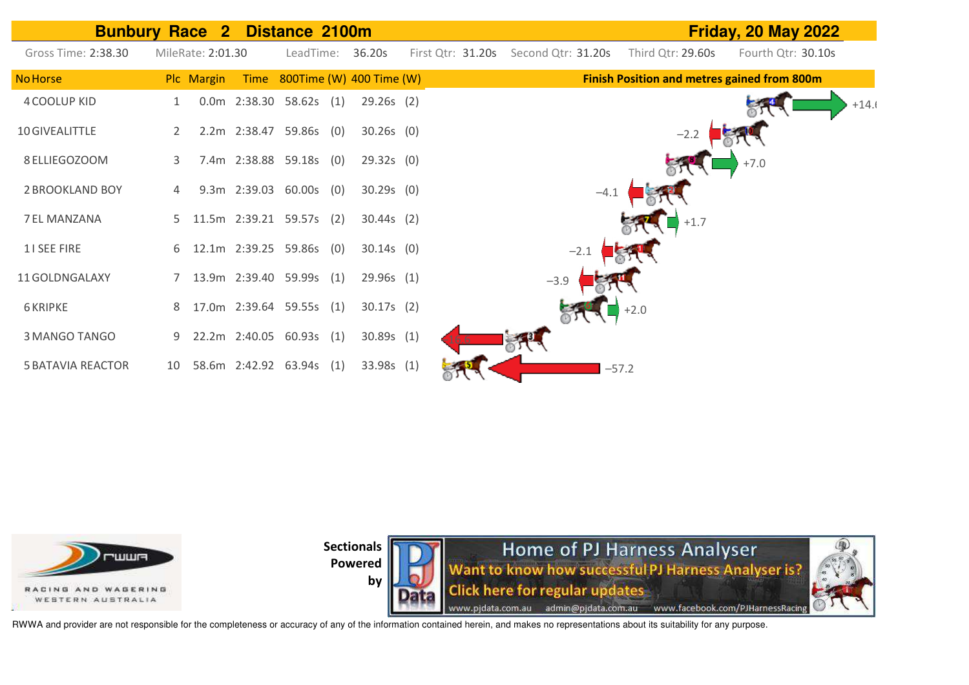



**by** 



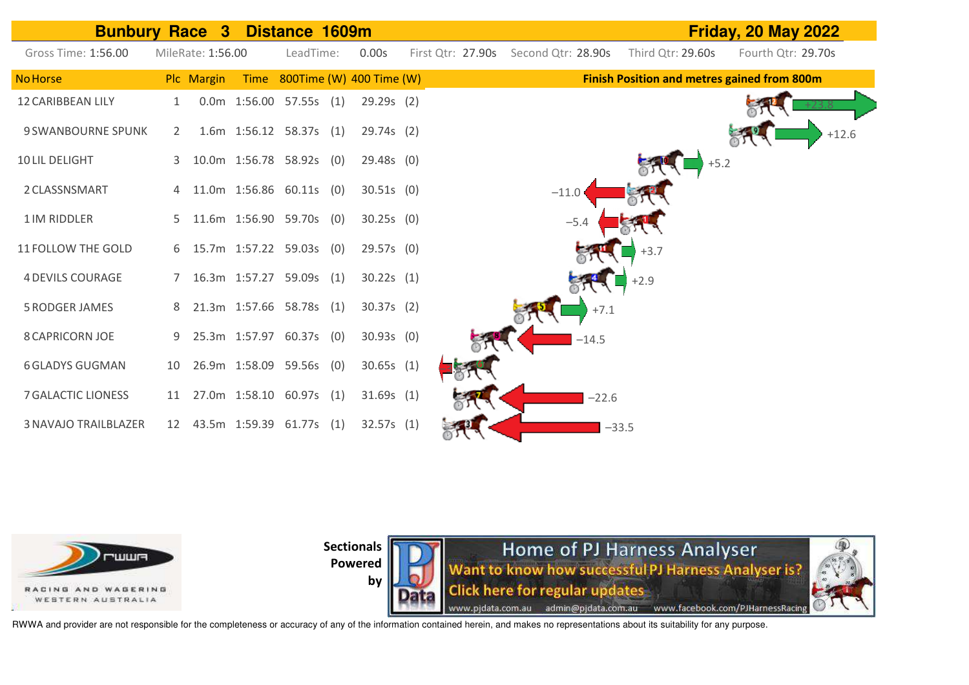



**Sectionals** 

**Powered by** 

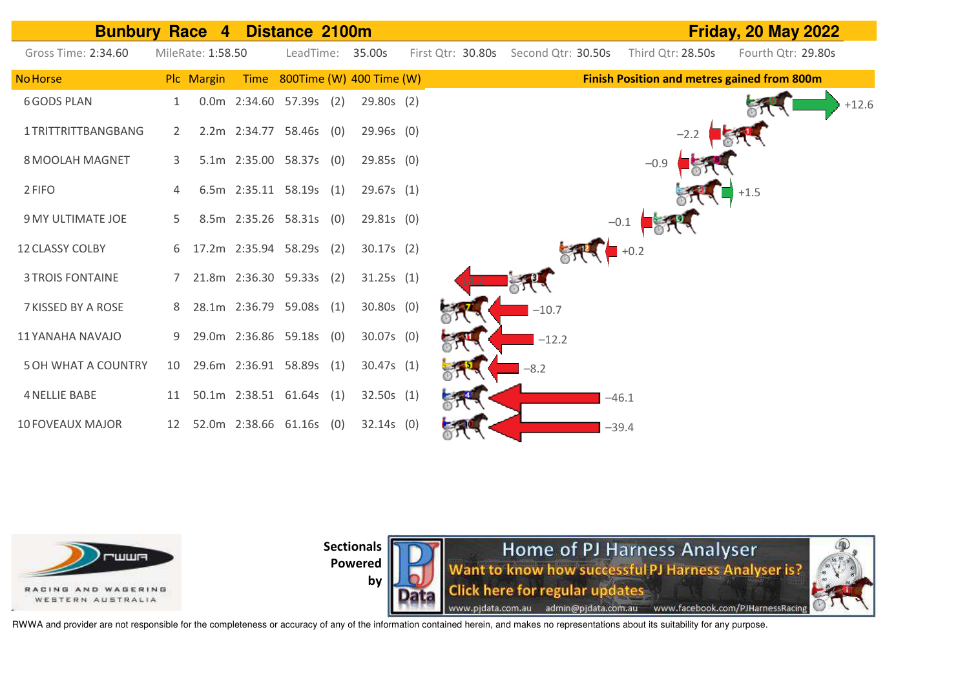



**by** 

Home of PJ Harness Analyser Want to know how successful PJ Harness Analyser is? **Click here for regular updates** www.pjdata.com.au admin@pjdata.com.au www.facebook.com/PJHarnessRacing

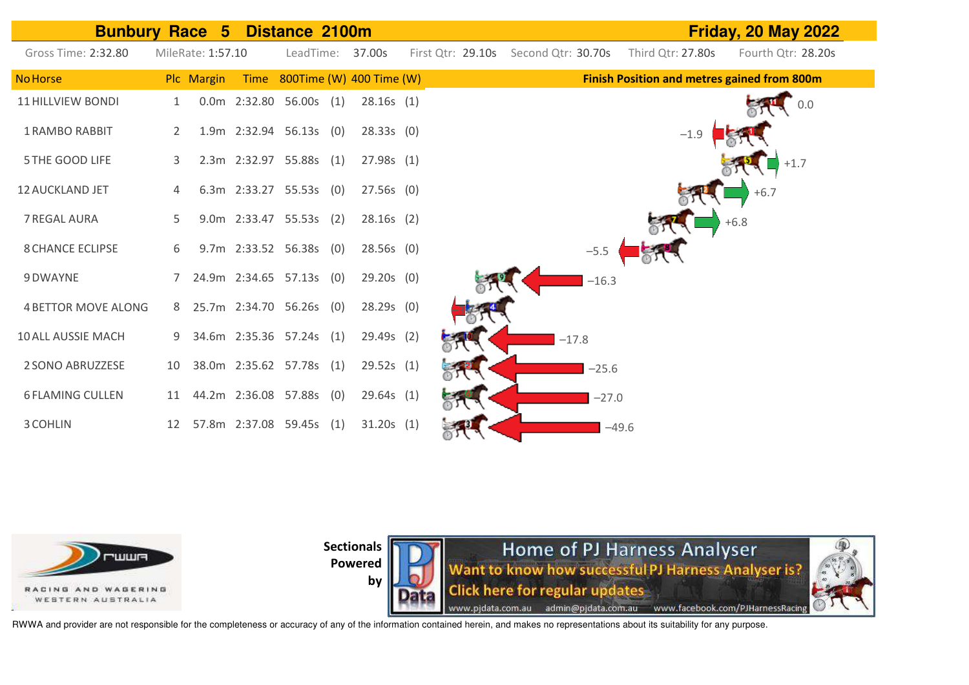| <b>Bunbury Race 5</b>      |    |                   |                          | Distance 2100m |                               |                   |                    | <b>Friday, 20 May 2022</b> |                                             |                                     |  |  |
|----------------------------|----|-------------------|--------------------------|----------------|-------------------------------|-------------------|--------------------|----------------------------|---------------------------------------------|-------------------------------------|--|--|
| Gross Time: 2:32.80        |    | MileRate: 1:57.10 |                          |                | LeadTime: 37.00s              | First Qtr: 29.10s | Second Qtr: 30.70s |                            | Third Qtr: 27.80s                           | Fourth Qtr: 28.20s                  |  |  |
| <b>No Horse</b>            |    | Plc Margin        |                          |                | Time 800Time (W) 400 Time (W) |                   |                    |                            | Finish Position and metres gained from 800m |                                     |  |  |
| <b>11 HILLVIEW BONDI</b>   |    |                   | 0.0m 2:32.80 56.00s (1)  |                | 28.16s(1)                     |                   |                    |                            |                                             | $\begin{bmatrix} 0.0 \end{bmatrix}$ |  |  |
| <b>1 RAMBO RABBIT</b>      | 2  |                   | 1.9m 2:32.94 56.13s (0)  |                | 28.33s(0)                     |                   |                    |                            | $-1.9$                                      |                                     |  |  |
| 5 THE GOOD LIFE            | 3  |                   | 2.3m 2:32.97 55.88s (1)  |                | 27.98s(1)                     |                   |                    |                            |                                             | $+1.7$                              |  |  |
| <b>12 AUCKLAND JET</b>     | 4  |                   | 6.3m 2:33.27 55.53s (0)  |                | $27.56s$ (0)                  |                   |                    |                            |                                             | $+6.7$                              |  |  |
| 7 REGAL AURA               | 5. |                   | 9.0m 2:33.47 55.53s (2)  |                | $28.16s$ (2)                  |                   |                    |                            |                                             | $+6.8$                              |  |  |
| <b>8 CHANCE ECLIPSE</b>    | 6  |                   | 9.7m 2:33.52 56.38s (0)  |                | $28.56s$ (0)                  |                   |                    | $-5.5$                     |                                             |                                     |  |  |
| 9 DWAYNE                   | 7  |                   | 24.9m 2:34.65 57.13s (0) |                | $29.20s$ (0)                  |                   |                    | $-16.3$                    |                                             |                                     |  |  |
| <b>4 BETTOR MOVE ALONG</b> | 8  |                   | 25.7m 2:34.70 56.26s (0) |                | $28.29s$ (0)                  |                   |                    |                            |                                             |                                     |  |  |
| 10 ALL AUSSIE MACH         | 9  |                   | 34.6m 2:35.36 57.24s (1) |                | 29.49s (2)                    |                   |                    | $-17.8$                    |                                             |                                     |  |  |
| 2 SONO ABRUZZESE           | 10 |                   | 38.0m 2:35.62 57.78s (1) |                | 29.52s(1)                     |                   |                    | $-25.6$                    |                                             |                                     |  |  |
| <b>6 FLAMING CULLEN</b>    | 11 |                   | 44.2m 2:36.08 57.88s (0) |                | 29.64s(1)                     |                   |                    | $-27.0$                    |                                             |                                     |  |  |
| 3 COHLIN                   | 12 |                   | 57.8m 2:37.08 59.45s (1) |                | 31.20s(1)                     |                   |                    | $-49.6$                    |                                             |                                     |  |  |



**Sectionals** 

**Powered by** 

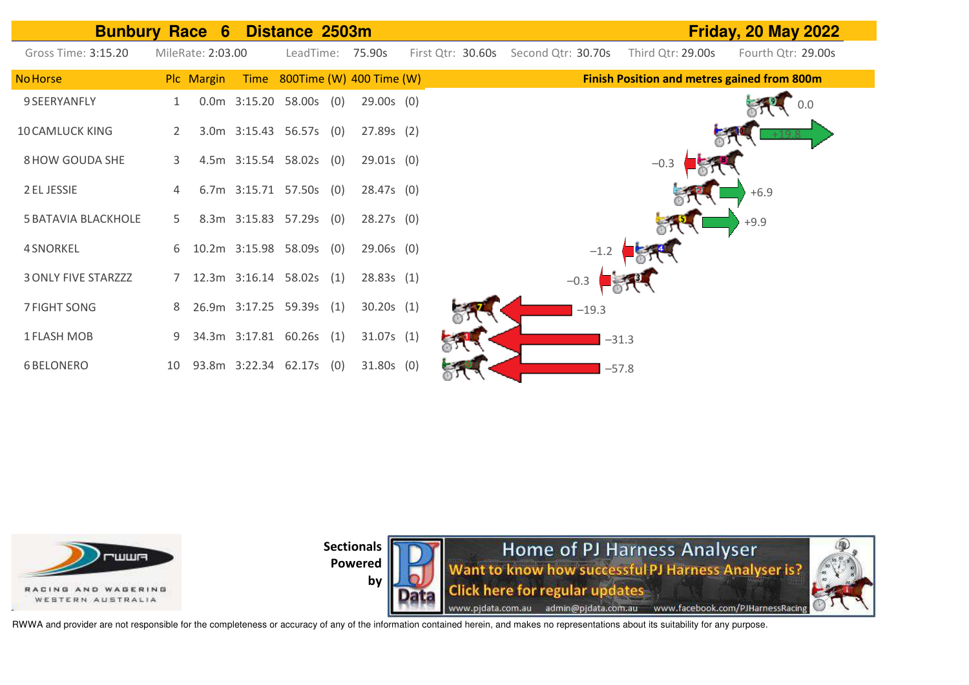| <b>Bunbury Race 6</b>      |                |                   |                           | Distance 2503m |                               |                   |                    |         |                   | <b>Friday, 20 May 2022</b>                         |
|----------------------------|----------------|-------------------|---------------------------|----------------|-------------------------------|-------------------|--------------------|---------|-------------------|----------------------------------------------------|
| Gross Time: 3:15.20        |                | MileRate: 2:03.00 |                           |                | LeadTime: 75.90s              | First Qtr: 30.60s | Second Qtr: 30.70s |         | Third Qtr: 29.00s | Fourth Qtr: 29.00s                                 |
| <b>No Horse</b>            |                | Plc Margin        |                           |                | Time 800Time (W) 400 Time (W) |                   |                    |         |                   | <b>Finish Position and metres gained from 800m</b> |
| 9 SEERYANFLY               |                |                   | $0.0m$ 3:15.20 58.00s (0) |                | $29.00s$ (0)                  |                   |                    |         |                   | $0.0\,$                                            |
| <b>10 CAMLUCK KING</b>     | $\overline{2}$ |                   | 3.0m 3:15.43 56.57s (0)   |                | 27.89s(2)                     |                   |                    |         |                   |                                                    |
| 8 HOW GOUDA SHE            | 3              |                   | 4.5m 3:15.54 58.02s (0)   |                | $29.01s$ (0)                  |                   |                    |         | $-0.3$            |                                                    |
| 2 EL JESSIE                |                |                   | 6.7m 3:15.71 57.50s (0)   |                | $28.47s$ (0)                  |                   |                    |         |                   | $+6.9$                                             |
| <b>5 BATAVIA BLACKHOLE</b> | 5.             |                   | 8.3m 3:15.83 57.29s (0)   |                | 28.27s(0)                     |                   |                    |         |                   | $+9.9$                                             |
| 4 SNORKEL                  | 6              |                   | 10.2m 3:15.98 58.09s (0)  |                | $29.06s$ (0)                  |                   | $-1.2$             |         |                   |                                                    |
| <b>3 ONLY FIVE STARZZZ</b> |                |                   | 12.3m 3:16.14 58.02s (1)  |                | 28.83s(1)                     |                   | $-0.3$             |         |                   |                                                    |
| 7 FIGHT SONG               | 8              |                   | 26.9m 3:17.25 59.39s (1)  |                | 30.20s(1)                     |                   | $-19.3$            |         |                   |                                                    |
| <b>1 FLASH MOB</b>         | 9              |                   | 34.3m 3:17.81 60.26s (1)  |                | 31.07s(1)                     |                   |                    | $-31.3$ |                   |                                                    |
| <b>6 BELONERO</b>          | 10             |                   | 93.8m 3:22.34 62.17s (0)  |                | $31.80s$ (0)                  |                   |                    | $-57.8$ |                   |                                                    |



**by** 

**Home of PJ Harness Analyser**<br>Want to know how successful PJ Harness Analyser is? **Click here for regular updates** www.pjdata.com.au admin@pjdata.com.au www.facebook.com/PJHarnessRacing

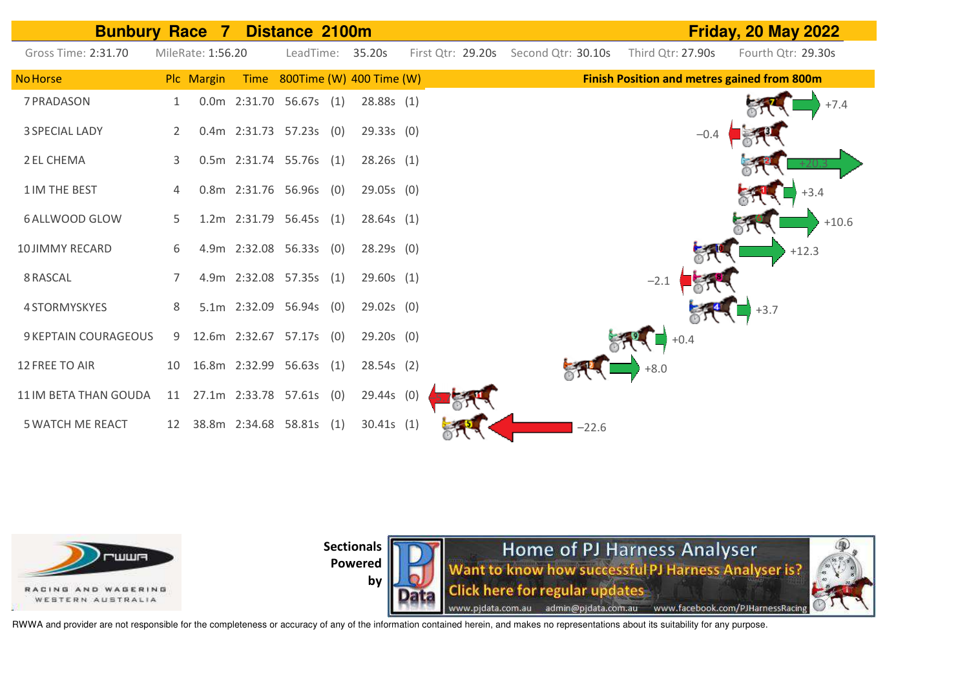



**Sectionals** 

**Powered by** 

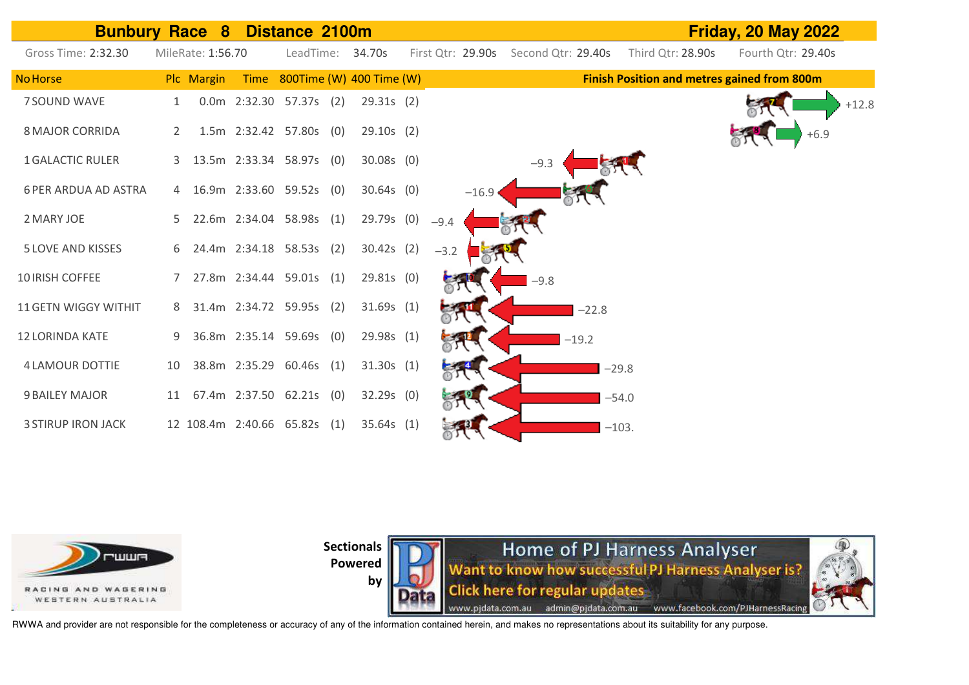| <b>Bunbury</b>              |    | Race<br>8         |                     | Distance 2100m               |     |                          |        |                   |                    |         |                                                    | <b>Friday, 20 May 2022</b> |
|-----------------------------|----|-------------------|---------------------|------------------------------|-----|--------------------------|--------|-------------------|--------------------|---------|----------------------------------------------------|----------------------------|
| Gross Time: 2:32.30         |    | MileRate: 1:56.70 |                     | LeadTime:                    |     | 34.70s                   |        | First Qtr: 29.90s | Second Qtr: 29.40s |         | Third Qtr: 28.90s                                  | Fourth Qtr: 29.40s         |
| <b>No Horse</b>             |    | Plc Margin        | Time                |                              |     | 800Time (W) 400 Time (W) |        |                   |                    |         | <b>Finish Position and metres gained from 800m</b> |                            |
| 7 SOUND WAVE                |    |                   |                     | 0.0m 2:32.30 57.37s (2)      |     | 29.31s(2)                |        |                   |                    |         |                                                    | $+12.8$                    |
| <b>8 MAJOR CORRIDA</b>      | 2  |                   | 1.5m 2:32.42 57.80s |                              | (0) | $29.10s$ (2)             |        |                   |                    |         |                                                    | $+6.9$                     |
| <b>1 GALACTIC RULER</b>     | 3  |                   |                     | 13.5m 2:33.34 58.97s (0)     |     | $30.08s$ (0)             |        |                   | $-9.3$             |         |                                                    |                            |
| <b>6 PER ARDUA AD ASTRA</b> |    |                   |                     | 4 16.9m 2:33.60 59.52s (0)   |     | $30.64s$ (0)             |        | $-16.9$           |                    |         |                                                    |                            |
| 2 MARY JOE                  |    |                   |                     | 5 22.6m 2:34.04 58.98s (1)   |     | 29.79s (0)               | $-9.4$ |                   |                    |         |                                                    |                            |
| <b>5 LOVE AND KISSES</b>    | 6  |                   |                     | 24.4m 2:34.18 58.53s (2)     |     | $30.42s$ (2)             | $-3.2$ |                   |                    |         |                                                    |                            |
| 10 IRISH COFFEE             |    |                   |                     | 27.8m 2:34.44 59.01s (1)     |     | $29.81s$ (0)             |        |                   | $-9.8$             |         |                                                    |                            |
| 11 GETN WIGGY WITHIT        | 8  |                   |                     | 31.4m 2:34.72 59.95s (2)     |     | 31.69s(1)                |        |                   |                    | $-22.8$ |                                                    |                            |
| <b>12 LORINDA KATE</b>      | 9  |                   |                     | 36.8m 2:35.14 59.69s (0)     |     | 29.98s (1)               |        |                   |                    | $-19.2$ |                                                    |                            |
| <b>4 LAMOUR DOTTIE</b>      | 10 |                   |                     | 38.8m 2:35.29 60.46s (1)     |     | 31.30s(1)                |        |                   |                    |         | $-29.8$                                            |                            |
| <b>9 BAILEY MAJOR</b>       | 11 |                   |                     | 67.4m 2:37.50 62.21s (0)     |     | $32.29s$ (0)             |        |                   |                    |         | $-54.0$                                            |                            |
| <b>3 STIRUP IRON JACK</b>   |    |                   |                     | 12 108.4m 2:40.66 65.82s (1) |     | 35.64s(1)                |        |                   |                    |         | $-103.$                                            |                            |



**by** 

Home of PJ Harness Analyser<br>Want to know how successful PJ Harness Analyser is? **Click here for regular updates** www.pjdata.com.au admin@pjdata.com.au www.facebook.com/PJHarnessRacing